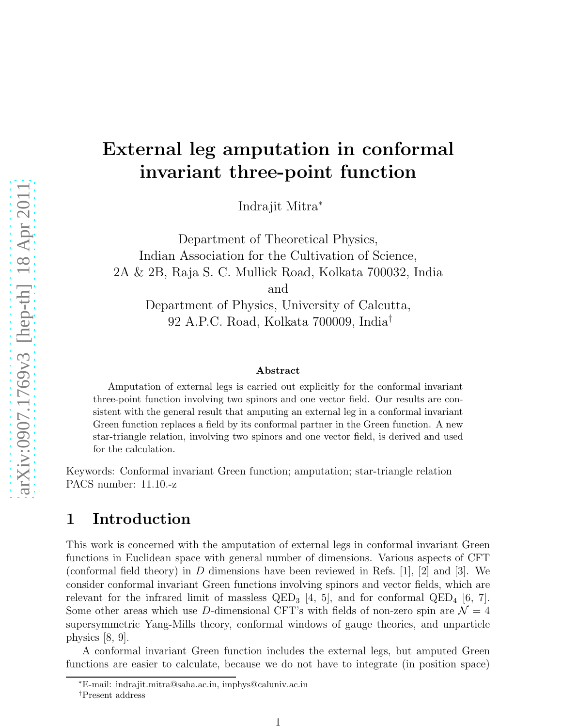## External leg amputation in conformal invariant three-point function

Indrajit Mitra<sup>∗</sup>

Department of Theoretical Physics, Indian Association for the Cultivation of Science, 2A & 2B, Raja S. C. Mullick Road, Kolkata 700032, India and Department of Physics, University of Calcutta,

92 A.P.C. Road, Kolkata 700009, India†

#### Abstract

Amputation of external legs is carried out explicitly for the conformal invariant three-point function involving two spinors and one vector field. Our results are consistent with the general result that amputing an external leg in a conformal invariant Green function replaces a field by its conformal partner in the Green function. A new star-triangle relation, involving two spinors and one vector field, is derived and used for the calculation.

Keywords: Conformal invariant Green function; amputation; star-triangle relation PACS number: 11.10.-z

### 1 Introduction

This work is concerned with the amputation of external legs in conformal invariant Green functions in Euclidean space with general number of dimensions. Various aspects of CFT (conformal field theory) in D dimensions have been reviewed in Refs. [1], [2] and [3]. We consider conformal invariant Green functions involving spinors and vector fields, which are relevant for the infrared limit of massless  $QED_3$  [4, 5], and for conformal  $QED_4$  [6, 7]. Some other areas which use D-dimensional CFT's with fields of non-zero spin are  $\mathcal{N} = 4$ supersymmetric Yang-Mills theory, conformal windows of gauge theories, and unparticle physics [8, 9].

A conformal invariant Green function includes the external legs, but amputed Green functions are easier to calculate, because we do not have to integrate (in position space)

<sup>∗</sup>E-mail: indrajit.mitra@saha.ac.in, imphys@caluniv.ac.in †Present address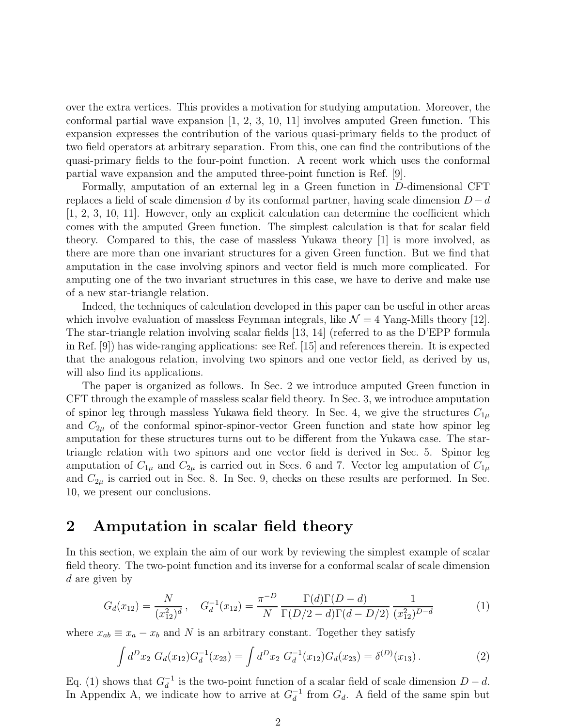over the extra vertices. This provides a motivation for studying amputation. Moreover, the conformal partial wave expansion [1, 2, 3, 10, 11] involves amputed Green function. This expansion expresses the contribution of the various quasi-primary fields to the product of two field operators at arbitrary separation. From this, one can find the contributions of the quasi-primary fields to the four-point function. A recent work which uses the conformal partial wave expansion and the amputed three-point function is Ref. [9].

Formally, amputation of an external leg in a Green function in D-dimensional CFT replaces a field of scale dimension d by its conformal partner, having scale dimension  $D - d$ [1, 2, 3, 10, 11]. However, only an explicit calculation can determine the coefficient which comes with the amputed Green function. The simplest calculation is that for scalar field theory. Compared to this, the case of massless Yukawa theory [1] is more involved, as there are more than one invariant structures for a given Green function. But we find that amputation in the case involving spinors and vector field is much more complicated. For amputing one of the two invariant structures in this case, we have to derive and make use of a new star-triangle relation.

Indeed, the techniques of calculation developed in this paper can be useful in other areas which involve evaluation of massless Feynman integrals, like  $\mathcal{N} = 4$  Yang-Mills theory [12]. The star-triangle relation involving scalar fields [13, 14] (referred to as the D'EPP formula in Ref. [9]) has wide-ranging applications: see Ref. [15] and references therein. It is expected that the analogous relation, involving two spinors and one vector field, as derived by us, will also find its applications.

The paper is organized as follows. In Sec. 2 we introduce amputed Green function in CFT through the example of massless scalar field theory. In Sec. 3, we introduce amputation of spinor leg through massless Yukawa field theory. In Sec. 4, we give the structures  $C_{1\mu}$ and  $C_{2\mu}$  of the conformal spinor-spinor-vector Green function and state how spinor leg amputation for these structures turns out to be different from the Yukawa case. The startriangle relation with two spinors and one vector field is derived in Sec. 5. Spinor leg amputation of  $C_{1\mu}$  and  $C_{2\mu}$  is carried out in Secs. 6 and 7. Vector leg amputation of  $C_{1\mu}$ and  $C_{2\mu}$  is carried out in Sec. 8. In Sec. 9, checks on these results are performed. In Sec. 10, we present our conclusions.

### 2 Amputation in scalar field theory

In this section, we explain the aim of our work by reviewing the simplest example of scalar field theory. The two-point function and its inverse for a conformal scalar of scale dimension d are given by

$$
G_d(x_{12}) = \frac{N}{(x_{12}^2)^d}, \quad G_d^{-1}(x_{12}) = \frac{\pi^{-D}}{N} \frac{\Gamma(d)\Gamma(D-d)}{\Gamma(D/2-d)\Gamma(d-D/2)} \frac{1}{(x_{12}^2)^{D-d}}
$$
(1)

where  $x_{ab} \equiv x_a - x_b$  and N is an arbitrary constant. Together they satisfy

$$
\int d^D x_2 \; G_d(x_{12}) G_d^{-1}(x_{23}) = \int d^D x_2 \; G_d^{-1}(x_{12}) G_d(x_{23}) = \delta^{(D)}(x_{13}). \tag{2}
$$

Eq. (1) shows that  $G_d^{-1}$  is the two-point function of a scalar field of scale dimension  $D - d$ . In Appendix A, we indicate how to arrive at  $G_d^{-1}$  from  $G_d$ . A field of the same spin but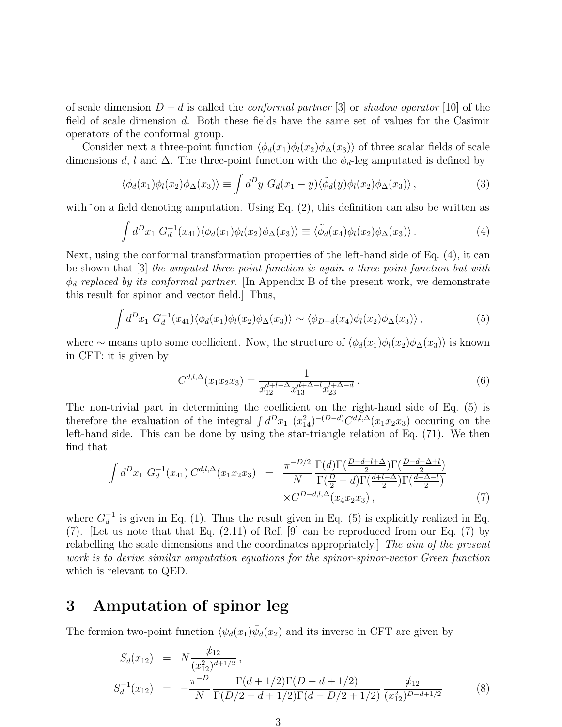of scale dimension  $D - d$  is called the *conformal partner* [3] or shadow operator [10] of the field of scale dimension d. Both these fields have the same set of values for the Casimir operators of the conformal group.

Consider next a three-point function  $\langle \phi_d(x_1)\phi_l(x_2)\phi_\Delta(x_3)\rangle$  of three scalar fields of scale dimensions d, l and  $\Delta$ . The three-point function with the  $\phi_d$ -leg amputated is defined by

$$
\langle \phi_d(x_1)\phi_l(x_2)\phi_\Delta(x_3)\rangle \equiv \int d^D y \; G_d(x_1-y)\langle \tilde{\phi}_d(y)\phi_l(x_2)\phi_\Delta(x_3)\rangle \,,\tag{3}
$$

with~on a field denoting amputation. Using Eq.  $(2)$ , this definition can also be written as

$$
\int d^D x_1 G_d^{-1}(x_{41}) \langle \phi_d(x_1) \phi_l(x_2) \phi_\Delta(x_3) \rangle \equiv \langle \tilde{\phi}_d(x_4) \phi_l(x_2) \phi_\Delta(x_3) \rangle. \tag{4}
$$

Next, using the conformal transformation properties of the left-hand side of Eq. (4), it can be shown that [3] the amputed three-point function is again a three-point function but with  $\phi_d$  replaced by its conformal partner. [In Appendix B of the present work, we demonstrate this result for spinor and vector field.] Thus,

$$
\int d^D x_1 \; G_d^{-1}(x_{41}) \langle \phi_d(x_1) \phi_l(x_2) \phi_\Delta(x_3) \rangle \sim \langle \phi_{D-d}(x_4) \phi_l(x_2) \phi_\Delta(x_3) \rangle \,, \tag{5}
$$

where ∼ means upto some coefficient. Now, the structure of  $\langle \phi_d(x_1)\phi_l(x_2)\phi_\Delta(x_3)\rangle$  is known in CFT: it is given by

$$
C^{d,l,\Delta}(x_1x_2x_3) = \frac{1}{x_{12}^{d+l-\Delta}x_{13}^{d+\Delta-l}x_{23}^{l+\Delta-d}}.
$$
\n(6)

The non-trivial part in determining the coefficient on the right-hand side of Eq. (5) is therefore the evaluation of the integral  $\int d^D x_1 (x_{14}^2)^{-(D-d)} C^{d,l,\Delta}(x_1x_2x_3)$  occuring on the left-hand side. This can be done by using the star-triangle relation of Eq. (71). We then find that

$$
\int d^D x_1 \ G_d^{-1}(x_{41}) C^{d,l,\Delta}(x_1 x_2 x_3) = \frac{\pi^{-D/2}}{N} \frac{\Gamma(d)\Gamma(\frac{D-d-l+\Delta}{2})\Gamma(\frac{D-d-\Delta+l}{2})}{\Gamma(\frac{D}{2}-d)\Gamma(\frac{d+l-\Delta}{2})\Gamma(\frac{d+\Delta-l}{2})} \times C^{D-d,l,\Delta}(x_4 x_2 x_3), \tag{7}
$$

where  $G_d^{-1}$  is given in Eq. (1). Thus the result given in Eq. (5) is explicitly realized in Eq. (7). [Let us note that that Eq. (2.11) of Ref. [9] can be reproduced from our Eq. (7) by relabelling the scale dimensions and the coordinates appropriately. The aim of the present work is to derive similar amputation equations for the spinor-spinor-vector Green function which is relevant to QED.

#### 3 Amputation of spinor leg

The fermion two-point function  $\langle \psi_d(x_1)\overline{\psi}_d(x_2)$  and its inverse in CFT are given by

$$
S_d(x_{12}) = N \frac{\not x_{12}}{(x_{12}^2)^{d+1/2}},
$$
  
\n
$$
S_d^{-1}(x_{12}) = -\frac{\pi^{-D}}{N} \frac{\Gamma(d+1/2)\Gamma(D-d+1/2)}{\Gamma(D/2-d+1/2)\Gamma(d-D/2+1/2)} \frac{\not x_{12}}{(x_{12}^2)^{D-d+1/2}}
$$
(8)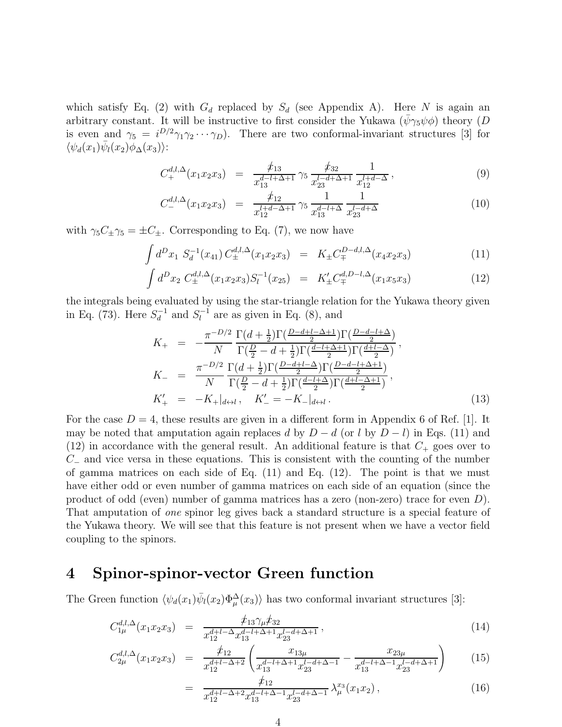which satisfy Eq. (2) with  $G_d$  replaced by  $S_d$  (see Appendix A). Here N is again an arbitrary constant. It will be instructive to first consider the Yukawa  $(\bar{\psi}\gamma_5\psi\phi)$  theory  $(D$ is even and  $\gamma_5 = i^{D/2} \gamma_1 \gamma_2 \cdots \gamma_D$ . There are two conformal-invariant structures [3] for  $\langle \psi_d(x_1)\overline{\psi}_l(x_2)\phi_{\Delta}(x_3)\rangle$ :

$$
C_{+}^{d,l,\Delta}(x_1x_2x_3) = \frac{\not x_{13}}{x_{13}^{d-l+\Delta+1}} \gamma_5 \frac{\not x_{32}}{x_{23}^{l-d+\Delta+1}} \frac{1}{x_{12}^{l+d-\Delta}}, \qquad (9)
$$

$$
C_{-}^{d,l,\Delta}(x_1x_2x_3) = \frac{\not x_{12}}{x_{12}^{l+d-\Delta+1}} \gamma_5 \frac{1}{x_{13}^{d-l+\Delta}} \frac{1}{x_{23}^{l-d+\Delta}} \tag{10}
$$

with  $\gamma_5 C_\pm \gamma_5 = \pm C_\pm$ . Corresponding to Eq. (7), we now have

$$
\int d^D x_1 \ S_d^{-1}(x_{41}) \ C_{\pm}^{d,l,\Delta}(x_1 x_2 x_3) = K_{\pm} C_{\mp}^{D-d,l,\Delta}(x_4 x_2 x_3) \tag{11}
$$

$$
\int d^D x_2 \ C_{\pm}^{d,l,\Delta}(x_1 x_2 x_3) S_l^{-1}(x_{25}) = K'_{\pm} C_{\mp}^{d,D-l,\Delta}(x_1 x_5 x_3) \tag{12}
$$

the integrals being evaluated by using the star-triangle relation for the Yukawa theory given in Eq. (73). Here  $S_d^{-1}$  and  $S_l^{-1}$  are as given in Eq. (8), and

$$
K_{+} = -\frac{\pi^{-D/2}}{N} \frac{\Gamma(d + \frac{1}{2}) \Gamma(\frac{D-d+l-\Delta+1}{2}) \Gamma(\frac{D-d-l+\Delta}{2})}{\Gamma(\frac{D}{2}-d+\frac{1}{2}) \Gamma(\frac{d-l+\Delta+1}{2}) \Gamma(\frac{d+l-\Delta}{2})},
$$
  
\n
$$
K_{-} = \frac{\pi^{-D/2}}{N} \frac{\Gamma(d + \frac{1}{2}) \Gamma(\frac{D-d+l-\Delta}{2}) \Gamma(\frac{D-d-l+\Delta+1}{2})}{\Gamma(\frac{D}{2}-d+\frac{1}{2}) \Gamma(\frac{d-l+\Delta}{2}) \Gamma(\frac{d+l-\Delta+1}{2})},
$$
  
\n
$$
K'_{+} = -K_{+}|_{d \leftrightarrow l}, \quad K'_{-} = -K_{-}|_{d \leftrightarrow l}. \tag{13}
$$

For the case  $D = 4$ , these results are given in a different form in Appendix 6 of Ref. [1]. It may be noted that amputation again replaces d by  $D - d$  (or l by  $D - l$ ) in Eqs. (11) and  $(12)$  in accordance with the general result. An additional feature is that  $C_{+}$  goes over to  $C_$  and vice versa in these equations. This is consistent with the counting of the number of gamma matrices on each side of Eq. (11) and Eq. (12). The point is that we must have either odd or even number of gamma matrices on each side of an equation (since the product of odd (even) number of gamma matrices has a zero (non-zero) trace for even D). That amputation of one spinor leg gives back a standard structure is a special feature of the Yukawa theory. We will see that this feature is not present when we have a vector field coupling to the spinors.

### 4 Spinor-spinor-vector Green function

The Green function  $\langle \psi_d(x_1)\overline{\psi}_l(x_2)\Phi_\mu^\Delta(x_3)\rangle$  has two conformal invariant structures [3]:

$$
C_{1\mu}^{d,l,\Delta}(x_1x_2x_3) = \frac{\not x_{13}\gamma_\mu \not x_{32}}{x_{12}^{d+l-\Delta}x_{13}^{d-l+\Delta+1}x_{23}^{l-d+\Delta+1}},\tag{14}
$$

$$
C_{2\mu}^{d,l,\Delta}(x_1x_2x_3) = \frac{\not x_{12}}{x_{12}^{d+l-\Delta+2}} \left( \frac{x_{13\mu}}{x_{13}^{d-l+\Delta+1}x_{23}^{l-d+\Delta-1}} - \frac{x_{23\mu}}{x_{13}^{d-l+\Delta-1}x_{23}^{l-d+\Delta+1}} \right) \tag{15}
$$

$$
= \frac{\mu_{12}}{x_{12}^{d+l-\Delta+2}x_{13}^{d-l+\Delta-1}x_{23}^{l-d+\Delta-1}} \lambda_{\mu}^{x_3}(x_1x_2), \qquad (16)
$$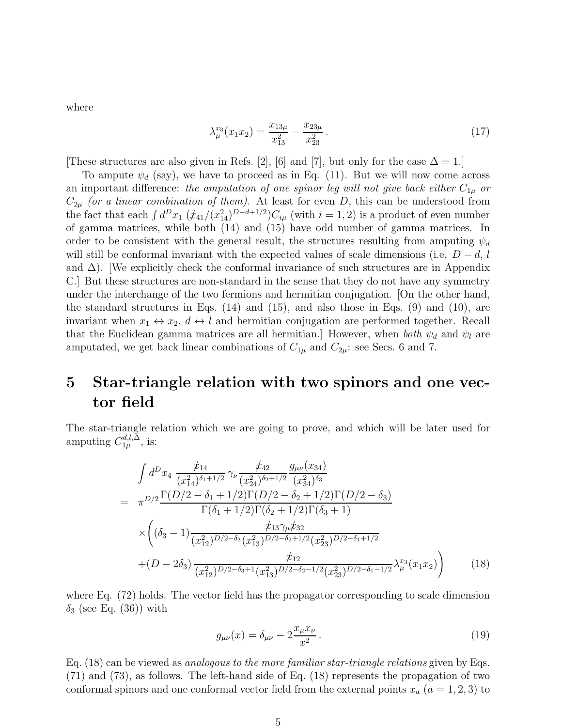where

$$
\lambda_{\mu}^{x_3}(x_1 x_2) = \frac{x_{13\mu}}{x_{13}^2} - \frac{x_{23\mu}}{x_{23}^2} \,. \tag{17}
$$

These structures are also given in Refs. [2], [6] and [7], but only for the case  $\Delta = 1$ .]

To ampute  $\psi_d$  (say), we have to proceed as in Eq. (11). But we will now come across an important difference: the amputation of one spinor leg will not give back either  $C_{1\mu}$  or  $C_{2\mu}$  (or a linear combination of them). At least for even D, this can be understood from the fact that each  $\int d^D x_1 \left(\frac{\dot{x}_4}{1/2}\right)^{D-d+1/2} C_{i\mu}$  (with  $i = 1, 2$ ) is a product of even number of gamma matrices, while both (14) and (15) have odd number of gamma matrices. In order to be consistent with the general result, the structures resulting from amputing  $\psi_d$ will still be conformal invariant with the expected values of scale dimensions (i.e.  $D - d$ , l and  $\Delta$ ). [We explicitly check the conformal invariance of such structures are in Appendix C.] But these structures are non-standard in the sense that they do not have any symmetry under the interchange of the two fermions and hermitian conjugation. [On the other hand, the standard structures in Eqs.  $(14)$  and  $(15)$ , and also those in Eqs.  $(9)$  and  $(10)$ , are invariant when  $x_1 \leftrightarrow x_2$ ,  $d \leftrightarrow l$  and hermitian conjugation are performed together. Recall that the Euclidean gamma matrices are all hermitian.] However, when both  $\psi_d$  and  $\psi_l$  are amputated, we get back linear combinations of  $C_{1\mu}$  and  $C_{2\mu}$ : see Secs. 6 and 7.

### 5 Star-triangle relation with two spinors and one vector field

The star-triangle relation which we are going to prove, and which will be later used for amputing  $C_{1\mu}^{d,l,\Delta}$  $_{1\mu}^{a,l,\Delta}$ , is:

$$
\int d^{D}x_{4} \frac{\not x_{14}}{(x_{14}^{2})^{\delta_{1}+1/2}} \gamma_{\nu} \frac{\not x_{42}}{(x_{24}^{2})^{\delta_{2}+1/2}} \frac{g_{\mu\nu}(x_{34})}{(x_{34}^{2})^{\delta_{3}}}
$$
\n
$$
= \pi^{D/2} \frac{\Gamma(D/2 - \delta_{1} + 1/2)\Gamma(D/2 - \delta_{2} + 1/2)\Gamma(D/2 - \delta_{3})}{\Gamma(\delta_{1} + 1/2)\Gamma(\delta_{2} + 1/2)\Gamma(\delta_{3} + 1)}
$$
\n
$$
\times \left( (\delta_{3} - 1) \frac{\not x_{13}\gamma_{\mu}\not x_{32}}{(x_{12}^{2})^{D/2-\delta_{3}} (x_{13}^{2})^{D/2-\delta_{2}+1/2} (x_{23}^{2})^{D/2-\delta_{1}+1/2}} \right)
$$
\n
$$
+ (D - 2\delta_{3}) \frac{\not x_{12}}{(x_{12}^{2})^{D/2-\delta_{3}+1} (x_{13}^{2})^{D/2-\delta_{2}-1/2} (x_{23}^{2})^{D/2-\delta_{1}-1/2}} \lambda_{\mu}^{x_{3}}(x_{1}x_{2}) \right) \qquad (18)
$$

where Eq. (72) holds. The vector field has the propagator corresponding to scale dimension  $\delta_3$  (see Eq. (36)) with

$$
g_{\mu\nu}(x) = \delta_{\mu\nu} - 2\frac{x_{\mu}x_{\nu}}{x^2}.
$$
 (19)

Eq. (18) can be viewed as analogous to the more familiar star-triangle relations given by Eqs. (71) and (73), as follows. The left-hand side of Eq. (18) represents the propagation of two conformal spinors and one conformal vector field from the external points  $x_a$   $(a = 1, 2, 3)$  to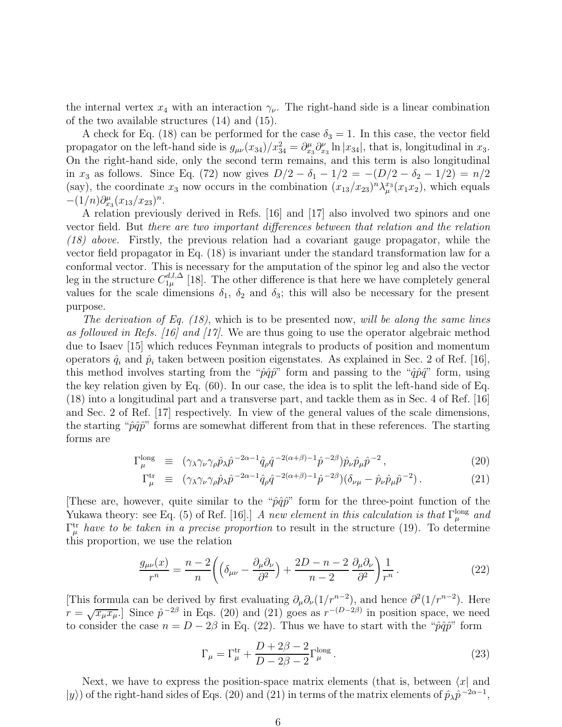the internal vertex  $x_4$  with an interaction  $\gamma_{\nu}$ . The right-hand side is a linear combination of the two available structures (14) and (15).

A check for Eq. (18) can be performed for the case  $\delta_3 = 1$ . In this case, the vector field propagator on the left-hand side is  $g_{\mu\nu}(x_{34})/x_{34}^2 = \partial_{x_3}^{\mu}\partial_{x_3}^{\nu} \ln |x_{34}|$ , that is, longitudinal in  $x_3$ . On the right-hand side, only the second term remains, and this term is also longitudinal in  $x_3$  as follows. Since Eq. (72) now gives  $D/2 - \delta_1 - 1/2 = -(D/2 - \delta_2 - 1/2) = n/2$ (say), the coordinate  $x_3$  now occurs in the combination  $(x_{13}/x_{23})^n \lambda_\mu^{x_3}(x_1x_2)$ , which equals  $-(1/n)\partial_{x_3}^{\mu}(x_{13}/x_{23})^n$ .

A relation previously derived in Refs. [16] and [17] also involved two spinors and one vector field. But there are two important differences between that relation and the relation (18) above. Firstly, the previous relation had a covariant gauge propagator, while the vector field propagator in Eq. (18) is invariant under the standard transformation law for a conformal vector. This is necessary for the amputation of the spinor leg and also the vector leg in the structure  $C_{1\mu}^{d,l,\Delta}$  $1\mu^{a,\mu}_{1\mu}$  [18]. The other difference is that here we have completely general values for the scale dimensions  $\delta_1$ ,  $\delta_2$  and  $\delta_3$ ; this will also be necessary for the present purpose.

The derivation of Eq.  $(18)$ , which is to be presented now, will be along the same lines as followed in Refs. [16] and [17]. We are thus going to use the operator algebraic method due to Isaev [15] which reduces Feynman integrals to products of position and momentum operators  $\hat{q}_i$  and  $\hat{p}_i$  taken between position eigenstates. As explained in Sec. 2 of Ref. [16], this method involves starting from the " $\hat{p}\hat{q}\hat{p}$ " form and passing to the " $\hat{q}\hat{p}\hat{q}$ " form, using the key relation given by Eq. (60). In our case, the idea is to split the left-hand side of Eq. (18) into a longitudinal part and a transverse part, and tackle them as in Sec. 4 of Ref. [16] and Sec. 2 of Ref. [17] respectively. In view of the general values of the scale dimensions, the starting " $\hat{p}\hat{q}\hat{p}$ " forms are somewhat different from that in these references. The starting forms are

$$
\Gamma_{\mu}^{\text{long}} \equiv (\gamma_{\lambda} \gamma_{\nu} \gamma_{\rho} \hat{p}_{\lambda} \hat{p}^{-2\alpha - 1} \hat{q}_{\rho} \hat{q}^{-2(\alpha + \beta) - 1} \hat{p}^{-2\beta}) \hat{p}_{\nu} \hat{p}_{\mu} \hat{p}^{-2}, \qquad (20)
$$

$$
\Gamma^{\text{tr}}_{\mu} \equiv (\gamma_{\lambda} \gamma_{\nu} \gamma_{\rho} \hat{p}_{\lambda} \hat{p}^{-2\alpha - 1} \hat{q}_{\rho} \hat{q}^{-2(\alpha + \beta) - 1} \hat{p}^{-2\beta}) (\delta_{\nu\mu} - \hat{p}_{\nu} \hat{p}_{\mu} \hat{p}^{-2}). \tag{21}
$$

[These are, however, quite similar to the " $\hat{p}\hat{q}\hat{p}$ " form for the three-point function of the Yukawa theory: see Eq. (5) of Ref. [16].] A new element in this calculation is that  $\Gamma_{\mu}^{\text{long}}$  and  $\Gamma^{\text{tr}}_{\mu}$  have to be taken in a precise proportion to result in the structure (19). To determine this proportion, we use the relation

$$
\frac{g_{\mu\nu}(x)}{r^n} = \frac{n-2}{n} \left( \left( \delta_{\mu\nu} - \frac{\partial_\mu \partial_\nu}{\partial^2} \right) + \frac{2D - n - 2}{n - 2} \frac{\partial_\mu \partial_\nu}{\partial^2} \right) \frac{1}{r^n} . \tag{22}
$$

[This formula can be derived by first evaluating  $\partial_\mu \partial_\nu (1/r^{n-2})$ , and hence  $\partial^2 (1/r^{n-2})$ . Here  $r = \sqrt{x_{\mu}x_{\mu}}$ . Since  $\hat{p}^{-2\beta}$  in Eqs. (20) and (21) goes as  $r^{-(D-2\beta)}$  in position space, we need to consider the case  $n = D - 2\beta$  in Eq. (22). Thus we have to start with the " $\hat{p}\hat{q}\hat{p}$ " form

$$
\Gamma_{\mu} = \Gamma_{\mu}^{\text{tr}} + \frac{D + 2\beta - 2}{D - 2\beta - 2} \Gamma_{\mu}^{\text{long}}.
$$
\n(23)

Next, we have to express the position-space matrix elements (that is, between  $\langle x|$  and  $|y\rangle$  of the right-hand sides of Eqs. (20) and (21) in terms of the matrix elements of  $\hat{p}_{\lambda} \hat{p}^{-2\alpha-1}$ ,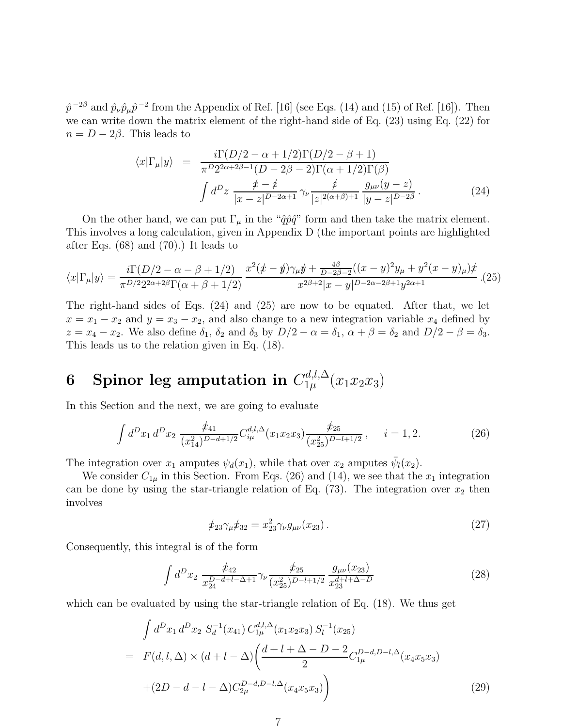$\hat{p}^{-2\beta}$  and  $\hat{p}_{\nu}\hat{p}_{\mu}\hat{p}^{-2}$  from the Appendix of Ref. [16] (see Eqs. (14) and (15) of Ref. [16]). Then we can write down the matrix element of the right-hand side of Eq. (23) using Eq. (22) for  $n = D - 2\beta$ . This leads to

$$
\langle x|\Gamma_{\mu}|y\rangle = \frac{i\Gamma(D/2-\alpha+1/2)\Gamma(D/2-\beta+1)}{\pi^{D}2^{2\alpha+2\beta-1}(D-2\beta-2)\Gamma(\alpha+1/2)\Gamma(\beta)}
$$

$$
\int d^{D}z \frac{\dot{x}-\dot{z}}{|x-z|^{D-2\alpha+1}} \gamma_{\nu} \frac{\dot{z}}{|z|^{2(\alpha+\beta)+1}} \frac{g_{\mu\nu}(y-z)}{|y-z|^{D-2\beta}}.
$$
(24)

On the other hand, we can put  $\Gamma_{\mu}$  in the " $\hat{q}\hat{p}\hat{q}$ " form and then take the matrix element. This involves a long calculation, given in Appendix D (the important points are highlighted after Eqs. (68) and (70).) It leads to

$$
\langle x|\Gamma_{\mu}|y\rangle = \frac{i\Gamma(D/2 - \alpha - \beta + 1/2)}{\pi^{D/2}2^{2\alpha + 2\beta}\Gamma(\alpha + \beta + 1/2)} \frac{x^2(\cancel{x} - \cancel{y})\gamma_{\mu}\cancel{y} + \frac{4\beta}{D - 2\beta - 2}((x - y)^2y_{\mu} + y^2(x - y)_{\mu})\cancel{x}}{x^{2\beta + 2}|x - y|^{D - 2\alpha - 2\beta + 1}y^{2\alpha + 1}}. (25)
$$

The right-hand sides of Eqs. (24) and (25) are now to be equated. After that, we let  $x = x_1 - x_2$  and  $y = x_3 - x_2$ , and also change to a new integration variable  $x_4$  defined by  $z = x_4 - x_2$ . We also define  $\delta_1$ ,  $\delta_2$  and  $\delta_3$  by  $D/2 - \alpha = \delta_1$ ,  $\alpha + \beta = \delta_2$  and  $D/2 - \beta = \delta_3$ . This leads us to the relation given in Eq. (18).

## 6 Spinor leg amputation in  $C^{d,l,\Delta}_{1 \mu}(x_1 x_2 x_3)$

In this Section and the next, we are going to evaluate

$$
\int d^D x_1 d^D x_2 \frac{\not x_{41}}{(x_{14}^2)^{D-d+1/2}} C_{i\mu}^{d,l,\Delta}(x_1 x_2 x_3) \frac{\not x_{25}}{(x_{25}^2)^{D-l+1/2}}, \quad i = 1, 2. \tag{26}
$$

The integration over  $x_1$  amputes  $\psi_d(x_1)$ , while that over  $x_2$  amputes  $\bar{\psi}_l(x_2)$ .

We consider  $C_{1\mu}$  in this Section. From Eqs. (26) and (14), we see that the  $x_1$  integration can be done by using the star-triangle relation of Eq.  $(73)$ . The integration over  $x_2$  then involves

$$
\rlap{\,/}z_2\gamma_\mu\rlap{\,/}z_3 = x_{23}^2\gamma_\nu g_{\mu\nu}(x_{23})\,. \tag{27}
$$

Consequently, this integral is of the form

$$
\int d^D x_2 \frac{\not x_{42}}{x_{24}^{D-d+l-\Delta+1}} \gamma_\nu \frac{\not x_{25}}{(x_{25}^2)^{D-l+1/2}} \frac{g_{\mu\nu}(x_{23})}{x_{23}^{d+l+\Delta-D}} \tag{28}
$$

which can be evaluated by using the star-triangle relation of Eq. (18). We thus get

$$
\int d^D x_1 d^D x_2 S_d^{-1}(x_{41}) C_{1\mu}^{d,l,\Delta}(x_1 x_2 x_3) S_l^{-1}(x_{25})
$$
\n
$$
= F(d,l,\Delta) \times (d+l-\Delta) \left( \frac{d+l+\Delta-D-2}{2} C_{1\mu}^{D-d,D-l,\Delta}(x_4 x_5 x_3) + (2D-d-l-\Delta) C_{2\mu}^{D-d,D-l,\Delta}(x_4 x_5 x_3) \right)
$$
\n(29)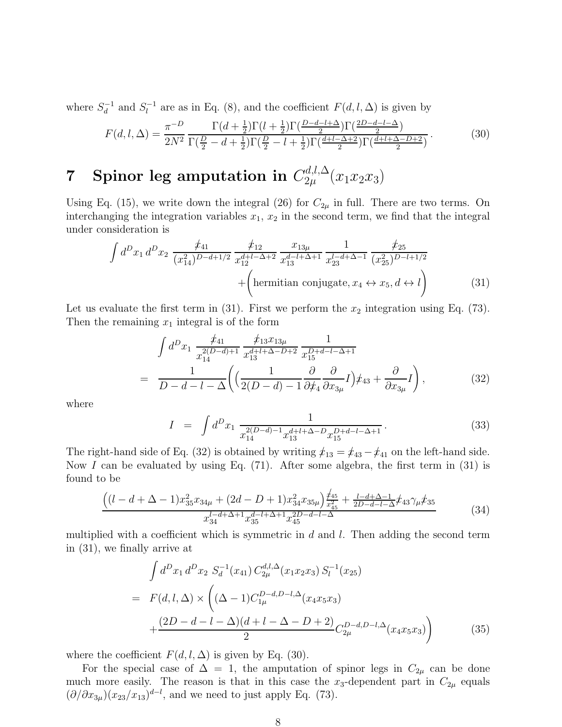where  $S_d^{-1}$  and  $S_l^{-1}$  are as in Eq. (8), and the coefficient  $F(d, l, \Delta)$  is given by

$$
F(d, l, \Delta) = \frac{\pi^{-D}}{2N^2} \frac{\Gamma(d + \frac{1}{2})\Gamma(l + \frac{1}{2})\Gamma(\frac{D - d - l + \Delta}{2})\Gamma(\frac{2D - d - l - \Delta}{2})}{\Gamma(\frac{D}{2} - d + \frac{1}{2})\Gamma(\frac{D}{2} - l + \frac{1}{2})\Gamma(\frac{d + l - \Delta + 2}{2})\Gamma(\frac{d + l + \Delta - D + 2}{2})}.
$$
(30)

## 7 Spinor leg amputation in  $C_{2\mu}^{d,l,\Delta}(x_1x_2x_3)$

Using Eq. (15), we write down the integral (26) for  $C_{2\mu}$  in full. There are two terms. On interchanging the integration variables  $x_1, x_2$  in the second term, we find that the integral under consideration is

$$
\int d^D x_1 d^D x_2 \frac{\not x_{41}}{(x_{14}^2)^{D-d+1/2}} \frac{\not x_{12}}{x_{12}^{d+l-\Delta+2}} \frac{x_{13\mu}}{x_{13}^{d-l+\Delta+1}} \frac{1}{x_{23}^{l-d+\Delta-1}} \frac{\not x_{25}}{(x_{25}^2)^{D-l+1/2}} + \left(\text{hermitian conjugate}, x_4 \leftrightarrow x_5, d \leftrightarrow l\right) \tag{31}
$$

Let us evaluate the first term in  $(31)$ . First we perform the  $x_2$  integration using Eq.  $(73)$ . Then the remaining  $x_1$  integral is of the form

$$
\int d^D x_1 \frac{\not x_{41}}{x_{14}^{2(D-d)+1}} \frac{\not x_{13} x_{13\mu}}{x_{13}^{d+l+\Delta-D+2}} \frac{1}{x_{15}^{D+d-l-\Delta+1}} \n= \frac{1}{D-d-l-\Delta} \bigg( \Big( \frac{1}{2(D-d)-1} \frac{\partial}{\partial \not x_4} \frac{\partial}{\partial x_{3\mu}} I \Big) \not x_{43} + \frac{\partial}{\partial x_{3\mu}} I \bigg),
$$
\n(32)

where

$$
I = \int d^D x_1 \frac{1}{x_{14}^{2(D-d)-1} x_{13}^{d+l+\Delta-D} x_{15}^{D+d-l-\Delta+1}}.
$$
 (33)

The right-hand side of Eq. (32) is obtained by writing  $\dot{x}_{13} = \dot{x}_{43} - \dot{x}_{41}$  on the left-hand side. Now I can be evaluated by using Eq.  $(71)$ . After some algebra, the first term in  $(31)$  is found to be

$$
\frac{\left((l-d+\Delta-1)x_{35}^2x_{34\mu}+(2d-D+1)x_{34}^2x_{35\mu}\right)\frac{\neq_{45}}{x_{45}^2}+\frac{l-d+\Delta-1}{2D-d-l-\Delta}x_{43}\gamma_{\mu}x_{35}}{x_{34}^{l-d+\Delta+1}x_{35}^{d-l+\Delta+1}x_{45}^{2D-d-l-\Delta}}\tag{34}
$$

multiplied with a coefficient which is symmetric in  $d$  and  $l$ . Then adding the second term in (31), we finally arrive at

$$
\int d^D x_1 d^D x_2 S_d^{-1}(x_{41}) C_{2\mu}^{d,l,\Delta}(x_1 x_2 x_3) S_l^{-1}(x_{25})
$$
\n
$$
= F(d,l,\Delta) \times \left( (\Delta - 1) C_{1\mu}^{D-d,D-l,\Delta}(x_4 x_5 x_3) + \frac{(2D - d - l - \Delta)(d + l - \Delta - D + 2)}{2} C_{2\mu}^{D-d,D-l,\Delta}(x_4 x_5 x_3) \right) \tag{35}
$$

where the coefficient  $F(d, l, \Delta)$  is given by Eq. (30).

For the special case of  $\Delta = 1$ , the amputation of spinor legs in  $C_{2\mu}$  can be done much more easily. The reason is that in this case the  $x_3$ -dependent part in  $C_{2\mu}$  equals  $(\partial/\partial x_{3\mu})(x_{23}/x_{13})^{d-l}$ , and we need to just apply Eq. (73).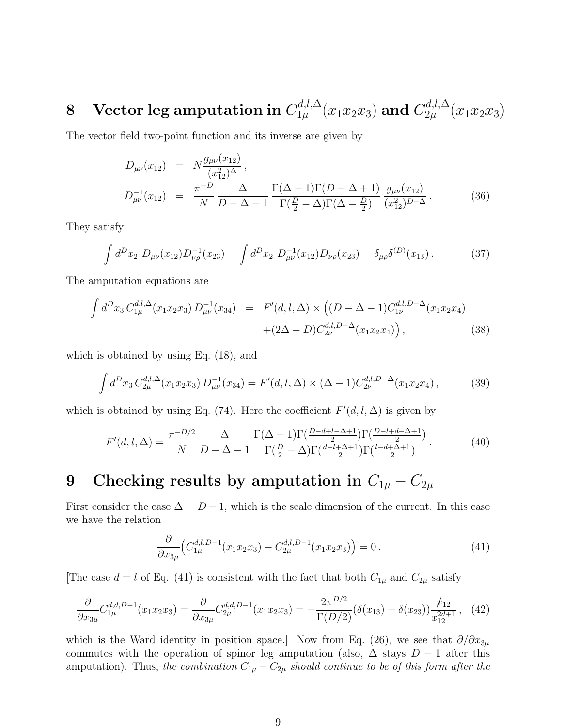# 8 Vector leg amputation in  $C^{d,l,\Delta}_{1\mu}(x_1x_2x_3)$  and  $C^{d,l,\Delta}_{2\mu}(x_1x_2x_3)$

The vector field two-point function and its inverse are given by

$$
D_{\mu\nu}(x_{12}) = N \frac{g_{\mu\nu}(x_{12})}{(x_{12}^2)^{\Delta}},
$$
  
\n
$$
D_{\mu\nu}^{-1}(x_{12}) = \frac{\pi^{-D}}{N} \frac{\Delta}{D - \Delta - 1} \frac{\Gamma(\Delta - 1)\Gamma(D - \Delta + 1)}{\Gamma(\frac{D}{2} - \Delta)\Gamma(\Delta - \frac{D}{2})} \frac{g_{\mu\nu}(x_{12})}{(x_{12}^2)^{D - \Delta}}.
$$
\n(36)

They satisfy

$$
\int d^D x_2 \ D_{\mu\nu}(x_{12}) D_{\nu\rho}^{-1}(x_{23}) = \int d^D x_2 \ D_{\mu\nu}^{-1}(x_{12}) D_{\nu\rho}(x_{23}) = \delta_{\mu\rho} \delta^{(D)}(x_{13}). \tag{37}
$$

The amputation equations are

$$
\int d^D x_3 C_{1\mu}^{d,l,\Delta}(x_1 x_2 x_3) D_{\mu\nu}^{-1}(x_{34}) = F'(d,l,\Delta) \times \left( (D - \Delta - 1) C_{1\nu}^{d,l,D-\Delta}(x_1 x_2 x_4) + (2\Delta - D) C_{2\nu}^{d,l,D-\Delta}(x_1 x_2 x_4) \right), \tag{38}
$$

which is obtained by using Eq. (18), and

$$
\int d^D x_3 C_{2\mu}^{d,l,\Delta}(x_1 x_2 x_3) D_{\mu\nu}^{-1}(x_{34}) = F'(d,l,\Delta) \times (\Delta - 1) C_{2\nu}^{d,l,D-\Delta}(x_1 x_2 x_4), \tag{39}
$$

which is obtained by using Eq. (74). Here the coefficient  $F'(d, l, \Delta)$  is given by

$$
F'(d, l, \Delta) = \frac{\pi^{-D/2}}{N} \frac{\Delta}{D - \Delta - 1} \frac{\Gamma(\Delta - 1)\Gamma(\frac{D - d + l - \Delta + 1}{2})\Gamma(\frac{D - l + d - \Delta + 1}{2})}{\Gamma(\frac{D}{2} - \Delta)\Gamma(\frac{d - l + \Delta + 1}{2})\Gamma(\frac{l - d + \Delta + 1}{2})}.
$$
(40)

### 9 Checking results by amputation in  $C_{1\mu} - C_{2\mu}$

First consider the case  $\Delta = D - 1$ , which is the scale dimension of the current. In this case we have the relation

$$
\frac{\partial}{\partial x_{3\mu}} \left( C_{1\mu}^{d,l,D-1}(x_1 x_2 x_3) - C_{2\mu}^{d,l,D-1}(x_1 x_2 x_3) \right) = 0. \tag{41}
$$

[The case  $d = l$  of Eq. (41) is consistent with the fact that both  $C_{1\mu}$  and  $C_{2\mu}$  satisfy

$$
\frac{\partial}{\partial x_{3\mu}} C_{1\mu}^{d,d,D-1}(x_1 x_2 x_3) = \frac{\partial}{\partial x_{3\mu}} C_{2\mu}^{d,d,D-1}(x_1 x_2 x_3) = -\frac{2\pi^{D/2}}{\Gamma(D/2)} (\delta(x_{13}) - \delta(x_{23})) \frac{\dot{\mathcal{X}}_{12}}{x_{12}^{2d+1}},\tag{42}
$$

which is the Ward identity in position space.] Now from Eq. (26), we see that  $\partial/\partial x_{3\mu}$ commutes with the operation of spinor leg amputation (also,  $\Delta$  stays  $D-1$  after this amputation). Thus, the combination  $C_{1\mu} - C_{2\mu}$  should continue to be of this form after the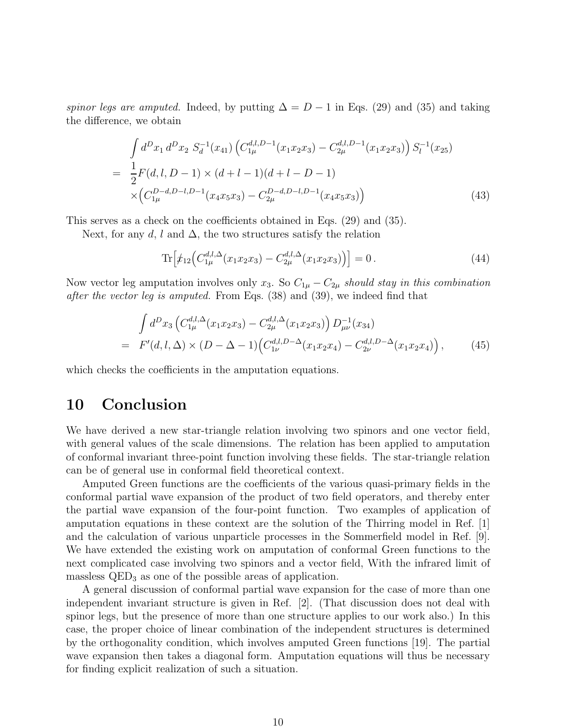spinor legs are amputed. Indeed, by putting  $\Delta = D - 1$  in Eqs. (29) and (35) and taking the difference, we obtain

$$
\int d^D x_1 d^D x_2 S_d^{-1}(x_{41}) \left( C_{1\mu}^{d,l,D-1}(x_1 x_2 x_3) - C_{2\mu}^{d,l,D-1}(x_1 x_2 x_3) \right) S_l^{-1}(x_{25})
$$
\n
$$
= \frac{1}{2} F(d,l,D-1) \times (d+l-1)(d+l-D-1)
$$
\n
$$
\times \left( C_{1\mu}^{D-d,D-l,D-1}(x_4 x_5 x_3) - C_{2\mu}^{D-d,D-l,D-1}(x_4 x_5 x_3) \right)
$$
\n(43)

This serves as a check on the coefficients obtained in Eqs. (29) and (35).

Next, for any d, l and  $\Delta$ , the two structures satisfy the relation

$$
\text{Tr}\left[\dot{x}_{12}\left(C_{1\mu}^{d,l,\Delta}(x_1x_2x_3) - C_{2\mu}^{d,l,\Delta}(x_1x_2x_3)\right)\right] = 0\,. \tag{44}
$$

Now vector leg amputation involves only  $x_3$ . So  $C_{1\mu} - C_{2\mu}$  should stay in this combination after the vector leg is amputed. From Eqs. (38) and (39), we indeed find that

$$
\int d^D x_3 \left( C_{1\mu}^{d,l,\Delta} (x_1 x_2 x_3) - C_{2\mu}^{d,l,\Delta} (x_1 x_2 x_3) \right) D_{\mu\nu}^{-1} (x_{34})
$$
\n
$$
= F'(d,l,\Delta) \times (D - \Delta - 1) \left( C_{1\nu}^{d,l,D-\Delta} (x_1 x_2 x_4) - C_{2\nu}^{d,l,D-\Delta} (x_1 x_2 x_4) \right), \tag{45}
$$

which checks the coefficients in the amputation equations.

### 10 Conclusion

We have derived a new star-triangle relation involving two spinors and one vector field, with general values of the scale dimensions. The relation has been applied to amputation of conformal invariant three-point function involving these fields. The star-triangle relation can be of general use in conformal field theoretical context.

Amputed Green functions are the coefficients of the various quasi-primary fields in the conformal partial wave expansion of the product of two field operators, and thereby enter the partial wave expansion of the four-point function. Two examples of application of amputation equations in these context are the solution of the Thirring model in Ref. [1] and the calculation of various unparticle processes in the Sommerfield model in Ref. [9]. We have extended the existing work on amputation of conformal Green functions to the next complicated case involving two spinors and a vector field, With the infrared limit of massless  $QED<sub>3</sub>$  as one of the possible areas of application.

A general discussion of conformal partial wave expansion for the case of more than one independent invariant structure is given in Ref. [2]. (That discussion does not deal with spinor legs, but the presence of more than one structure applies to our work also.) In this case, the proper choice of linear combination of the independent structures is determined by the orthogonality condition, which involves amputed Green functions [19]. The partial wave expansion then takes a diagonal form. Amputation equations will thus be necessary for finding explicit realization of such a situation.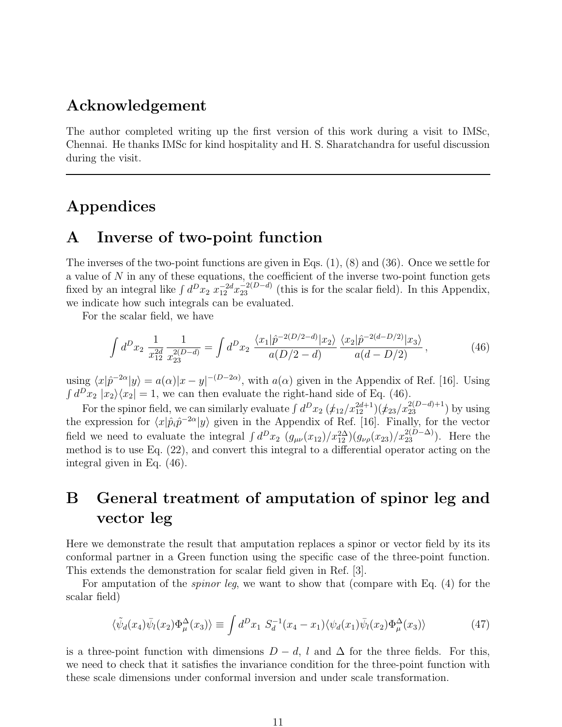#### Acknowledgement

The author completed writing up the first version of this work during a visit to IMSc, Chennai. He thanks IMSc for kind hospitality and H. S. Sharatchandra for useful discussion during the visit.

### Appendices

#### A Inverse of two-point function

The inverses of the two-point functions are given in Eqs. (1), (8) and (36). Once we settle for a value of  $N$  in any of these equations, the coefficient of the inverse two-point function gets fixed by an integral like  $\int d^D x_2 x_{12}^{-2d} x_{23}^{-2(D-d)}$  (this is for the scalar field). In this Appendix, we indicate how such integrals can be evaluated.

For the scalar field, we have

$$
\int d^D x_2 \frac{1}{x_{12}^{2d}} \frac{1}{x_{23}^{2(D-d)}} = \int d^D x_2 \frac{\langle x_1 | \hat{p}^{-2(D/2-d)} | x_2 \rangle}{a(D/2-d)} \frac{\langle x_2 | \hat{p}^{-2(d-D/2)} | x_3 \rangle}{a(d-D/2)},\tag{46}
$$

using  $\langle x|\hat{p}^{-2\alpha}|y\rangle = a(\alpha)|x-y|^{-(D-2\alpha)}$ , with  $a(\alpha)$  given in the Appendix of Ref. [16]. Using  $\int d^D x_2 |x_2\rangle\langle x_2| = 1$ , we can then evaluate the right-hand side of Eq. (46).

For the spinor field, we can similarly evaluate  $\int d^D x_2 \, (\not x_{12}/x_{12}^{2d+1}) (\not x_{23}/x_{23}^{2(D-d)+1})$  by using the expression for  $\langle x|\hat{p}_i\hat{p}^{-2\alpha}|y\rangle$  given in the Appendix of Ref. [16]. Finally, for the vector field we need to evaluate the integral  $\int d^D x_2 \left( g_{\mu\nu}(x_{12})/x_{12}^{2\Delta} \right) \left( g_{\nu\rho}(x_{23})/x_{23}^{2(D-\Delta)} \right)$ . Here the method is to use Eq. (22), and convert this integral to a differential operator acting on the integral given in Eq. (46).

### B General treatment of amputation of spinor leg and vector leg

Here we demonstrate the result that amputation replaces a spinor or vector field by its its conformal partner in a Green function using the specific case of the three-point function. This extends the demonstration for scalar field given in Ref. [3].

For amputation of the *spinor leg*, we want to show that (compare with Eq.  $(4)$  for the scalar field)

$$
\langle \tilde{\psi}_d(x_4) \bar{\psi}_l(x_2) \Phi_\mu^\Delta(x_3) \rangle \equiv \int d^D x_1 S_d^{-1}(x_4 - x_1) \langle \psi_d(x_1) \bar{\psi}_l(x_2) \Phi_\mu^\Delta(x_3) \rangle \tag{47}
$$

is a three-point function with dimensions  $D - d$ , l and  $\Delta$  for the three fields. For this, we need to check that it satisfies the invariance condition for the three-point function with these scale dimensions under conformal inversion and under scale transformation.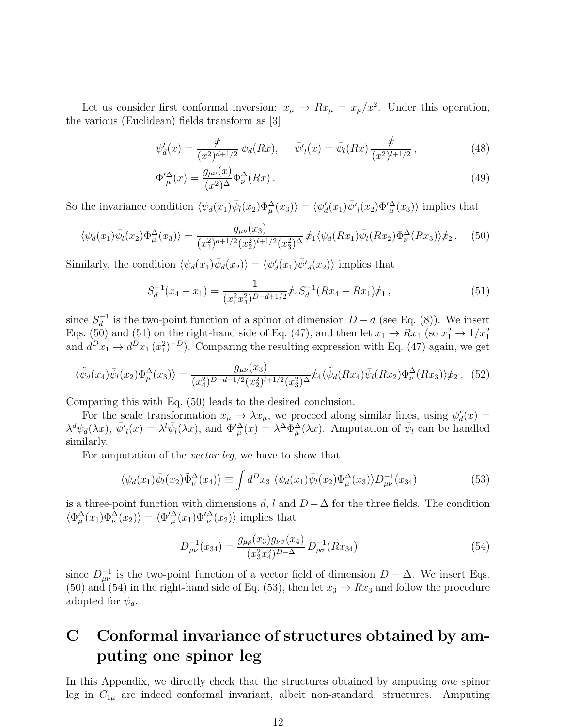Let us consider first conformal inversion:  $x_{\mu} \to Rx_{\mu} = x_{\mu}/x^2$ . Under this operation, the various (Euclidean) fields transform as [3]

$$
\psi'_d(x) = \frac{\not x}{(x^2)^{d+1/2}} \psi_d(Rx), \quad \bar{\psi'}_l(x) = \bar{\psi}_l(Rx) \frac{\not x}{(x^2)^{l+1/2}}, \tag{48}
$$

$$
\Phi_{\mu}^{\prime \Delta}(x) = \frac{g_{\mu\nu}(x)}{(x^2)^{\Delta}} \Phi_{\nu}^{\Delta}(Rx) \,. \tag{49}
$$

So the invariance condition  $\langle \psi_d(x_1)\overline{\psi}_l(x_2)\Phi_\mu^\Delta(x_3)\rangle = \langle \psi'_d(x_1)\overline{\psi'}_l(x_2)\Phi_\mu^\Delta(x_3)\rangle$  implies that

$$
\langle \psi_d(x_1)\bar{\psi}_l(x_2)\Phi_\mu^\Delta(x_3)\rangle = \frac{g_{\mu\nu}(x_3)}{(x_1^2)^{d+1/2}(x_2^2)^{l+1/2}(x_3^2)^\Delta} \, \dot{\mathcal{F}}_1 \langle \psi_d(Rx_1)\bar{\psi}_l(Rx_2)\Phi_\nu^\Delta(Rx_3)\rangle \dot{\mathcal{F}}_2 \,. \tag{50}
$$

Similarly, the condition  $\langle \psi_d(x_1)\bar{\psi}_d(x_2)\rangle = \langle \psi'_d(x_1)\bar{\psi'}_d(x_2)\rangle$  implies that

$$
S_d^{-1}(x_4 - x_1) = \frac{1}{(x_1^2 x_4^2)^{D-d+1/2}} \dot{x}_4 S_d^{-1}(Rx_4 - Rx_1) \dot{x}_1 , \qquad (51)
$$

since  $S_d^{-1}$  $d_d^{-1}$  is the two-point function of a spinor of dimension  $D - d$  (see Eq. (8)). We insert Eqs. (50) and (51) on the right-hand side of Eq. (47), and then let  $x_1 \to Rx_1$  (so  $x_1^2 \to 1/x_1^2$ and  $d^D x_1 \rightarrow d^D x_1 (x_1^2)^{-D}$ . Comparing the resulting expression with Eq. (47) again, we get

$$
\langle \tilde{\psi}_d(x_4) \bar{\psi}_l(x_2) \Phi_\mu^\Delta(x_3) \rangle = \frac{g_{\mu\nu}(x_3)}{(x_4^2)^{D-d+1/2} (x_2^2)^{l+1/2} (x_3^2)^\Delta} \dot{\mathcal{F}}_4 \langle \tilde{\psi}_d(Rx_4) \bar{\psi}_l(Rx_2) \Phi_\nu^\Delta(Rx_3) \rangle \dot{\mathcal{F}}_2. \tag{52}
$$

Comparing this with Eq. (50) leads to the desired conclusion.

For the scale transformation  $x_{\mu} \to \lambda x_{\mu}$ , we proceed along similar lines, using  $\psi_d'(x) =$  $\lambda^d \psi_d(\lambda x)$ ,  $\bar{\psi'}_l(x) = \lambda^l \bar{\psi}_l(\lambda x)$ , and  $\Phi'^{\Delta}_{\mu}(x) = \lambda^{\Delta} \bar{\Phi}^{\Delta}_{\mu}(\lambda x)$ . Amputation of  $\bar{\psi}_l$  can be handled similarly.

For amputation of the vector leg, we have to show that

$$
\langle \psi_d(x_1)\overline{\psi}_l(x_2)\tilde{\Phi}^{\Delta}_{\nu}(x_4)\rangle \equiv \int d^D x_3 \langle \psi_d(x_1)\overline{\psi}_l(x_2)\Phi^{\Delta}_{\mu}(x_3)\rangle D^{-1}_{\mu\nu}(x_{34})
$$
(53)

is a three-point function with dimensions d, l and  $D - \Delta$  for the three fields. The condition  $\langle \Phi_{\mu}^{\Delta}(x_1) \Phi_{\nu}^{\Delta}(x_2) \rangle = \langle \Phi_{\mu}^{\prime \Delta}(x_1) \Phi_{\nu}^{\prime \Delta}(x_2) \rangle$  implies that

$$
D_{\mu\nu}^{-1}(x_{34}) = \frac{g_{\mu\rho}(x_3)g_{\nu\sigma}(x_4)}{(x_3^2x_4^2)^{D-\Delta}} D_{\rho\sigma}^{-1}(Rx_{34})
$$
\n(54)

since  $D^{-1}_{\mu\nu}$  is the two-point function of a vector field of dimension  $D - \Delta$ . We insert Eqs. (50) and (54) in the right-hand side of Eq. (53), then let  $x_3 \to Rx_3$  and follow the procedure adopted for  $\psi_d$ .

### C Conformal invariance of structures obtained by amputing one spinor leg

In this Appendix, we directly check that the structures obtained by amputing one spinor leg in  $C_{1\mu}$  are indeed conformal invariant, albeit non-standard, structures. Amputing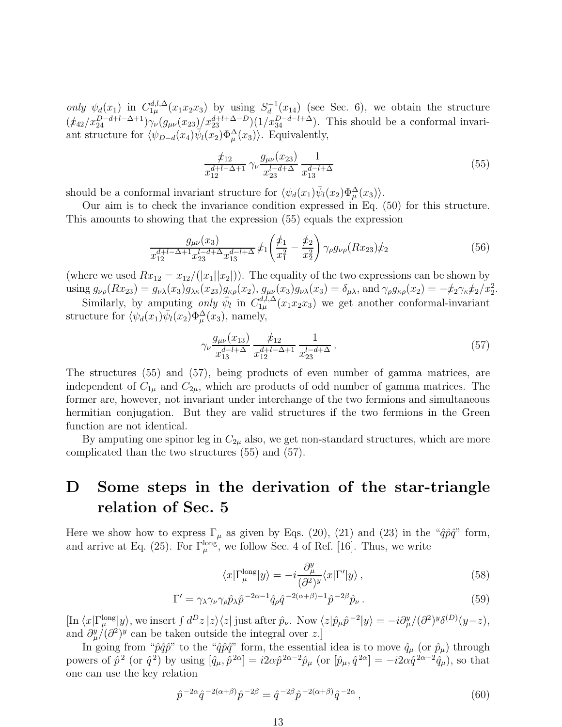only  $\psi_d(x_1)$  in  $C_{1\mu}^{d,l,\Delta}$  $_{1\mu}^{d,l,\Delta}(x_1x_2x_3)$  by using  $S_d^{-1}(x_{14})$  (see Sec. 6), we obtain the structure  $(\frac{t_{42}}{x_{24}}^{D-d+l-\Delta+1})\gamma_{\nu}(g_{\mu\nu}(x_{23})/x_{23}^{d+l+\Delta-D})(1/x_{34}^{D-d-l+\Delta}).$  This should be a conformal invariant structure for  $\langle \psi_{D-d}(x_4)\overline{\psi}_l(x_2)\Phi_\mu^\Delta(x_3)\rangle$ . Equivalently,

$$
\frac{\not x_{12}}{x_{12}^{d+l-\Delta+1}} \gamma_{\nu} \frac{g_{\mu\nu}(x_{23})}{x_{23}^{l-d+\Delta}} \frac{1}{x_{13}^{d-l+\Delta}} \tag{55}
$$

should be a conformal invariant structure for  $\langle \psi_d(x_1)\overline{\psi}_l(x_2)\Phi_\mu^\Delta(x_3)\rangle$ .

Our aim is to check the invariance condition expressed in Eq. (50) for this structure. This amounts to showing that the expression (55) equals the expression

$$
\frac{g_{\mu\nu}(x_3)}{x_{12}^{d+l-\Delta+1}x_{23}^{l-d+\Delta}x_{13}^{d-l+\Delta}}\, \dot{x}_1 \left(\frac{\dot{x}_1}{x_1^2} - \frac{\dot{x}_2}{x_2^2}\right) \gamma_\rho g_{\nu\rho}(Rx_{23}) \dot{x}_2 \tag{56}
$$

(where we used  $Rx_{12} = x_{12}/(|x_1||x_2|)$ ). The equality of the two expressions can be shown by using  $g_{\nu\rho}(Rx_{23}) = g_{\nu\lambda}(x_3)g_{\lambda\kappa}(x_{23})g_{\kappa\rho}(x_2), g_{\mu\nu}(x_3)g_{\nu\lambda}(x_3) = \delta_{\mu\lambda}$ , and  $\gamma_{\rho}g_{\kappa\rho}(x_2) = -\frac{\hbar}{2}\gamma_{\kappa}\frac{\hbar}{2}x_2^2$ .

Similarly, by amputing only  $\bar{\psi}_l$  in  $C_{1\mu}^{d,l,\Delta}(x_1x_2x_3)$  we get another conformal-invariant structure for  $\langle \psi_a(x_1) \overline{\psi}_l(x_2) \Phi_\mu^\Delta(x_3)$ , namely,

$$
\gamma_{\nu} \frac{g_{\mu\nu}(x_{13})}{x_{13}^{d-l+\Delta}} \frac{\dot{x}_{12}}{x_{12}^{d+l-\Delta+1}} \frac{1}{x_{23}^{l-d+\Delta}}.
$$
\n(57)

The structures (55) and (57), being products of even number of gamma matrices, are independent of  $C_{1\mu}$  and  $C_{2\mu}$ , which are products of odd number of gamma matrices. The former are, however, not invariant under interchange of the two fermions and simultaneous hermitian conjugation. But they are valid structures if the two fermions in the Green function are not identical.

By amputing one spinor leg in  $C_{2\mu}$  also, we get non-standard structures, which are more complicated than the two structures (55) and (57).

### D Some steps in the derivation of the star-triangle relation of Sec. 5

Here we show how to express  $\Gamma_{\mu}$  as given by Eqs. (20), (21) and (23) in the " $\hat{q}\hat{p}\hat{q}$ " form, and arrive at Eq. (25). For  $\Gamma_{\mu}^{\text{long}}$ , we follow Sec. 4 of Ref. [16]. Thus, we write

$$
\langle x|\Gamma_{\mu}^{\text{long}}|y\rangle = -i\frac{\partial_{\mu}^{y}}{(\partial^{2})^{y}}\langle x|\Gamma'|y\rangle ,\qquad(58)
$$

$$
\Gamma' = \gamma_{\lambda} \gamma_{\nu} \gamma_{\rho} \hat{p}_{\lambda} \hat{p}^{-2\alpha - 1} \hat{q}_{\rho} \hat{q}^{-2(\alpha + \beta) - 1} \hat{p}^{-2\beta} \hat{p}_{\nu} . \tag{59}
$$

 $\left[\text{In } \langle x | \Gamma_{\mu}^{\text{long}} | y \rangle$ , we insert  $\int d^D z |z\rangle \langle z|$  just after  $\hat{p}_{\nu}$ . Now  $\langle z | \hat{p}_{\mu} \hat{p}^{-2} | y \rangle = -i \partial_{\mu}^y / (\partial^2)^y \delta^{(D)}(y-z)$ , and  $\partial_{\mu}^{y} / (\partial^{2})^{y}$  can be taken outside the integral over z.]

In going from " $\hat{p}\hat{q}\hat{p}$ " to the " $\hat{q}\hat{p}\hat{q}$ " form, the essential idea is to move  $\hat{q}_{\mu}$  (or  $\hat{p}_{\mu}$ ) through powers of  $\hat{p}^2$  (or  $\hat{q}^2$ ) by using  $[\hat{q}_{\mu}, \hat{p}^{2\alpha}] = i2\alpha\hat{p}^{2\alpha-2}\hat{p}_{\mu}$  (or  $[\hat{p}_{\mu}, \hat{q}^{2\alpha}] = -i2\alpha\hat{q}^{2\alpha-2}\hat{q}_{\mu}$ ), so that one can use the key relation

$$
\hat{p}^{-2\alpha}\hat{q}^{-2(\alpha+\beta)}\hat{p}^{-2\beta} = \hat{q}^{-2\beta}\hat{p}^{-2(\alpha+\beta)}\hat{q}^{-2\alpha},\tag{60}
$$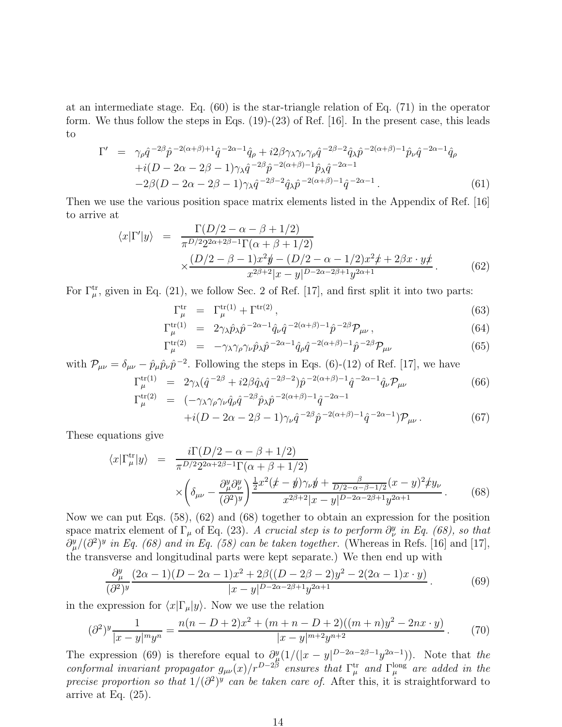at an intermediate stage. Eq. (60) is the star-triangle relation of Eq. (71) in the operator form. We thus follow the steps in Eqs.  $(19)-(23)$  of Ref. [16]. In the present case, this leads to

$$
\Gamma' = \gamma_{\rho} \hat{q}^{-2\beta} \hat{p}^{-2(\alpha+\beta)+1} \hat{q}^{-2\alpha-1} \hat{q}_{\rho} + i2\beta \gamma_{\lambda} \gamma_{\nu} \gamma_{\rho} \hat{q}^{-2\beta-2} \hat{q}_{\lambda} \hat{p}^{-2(\alpha+\beta)-1} \hat{p}_{\nu} \hat{q}^{-2\alpha-1} \hat{q}_{\rho} \n+ i(D - 2\alpha - 2\beta - 1) \gamma_{\lambda} \hat{q}^{-2\beta} \hat{p}^{-2(\alpha+\beta)-1} \hat{p}_{\lambda} \hat{q}^{-2\alpha-1} \n-2\beta(D - 2\alpha - 2\beta - 1) \gamma_{\lambda} \hat{q}^{-2\beta-2} \hat{q}_{\lambda} \hat{p}^{-2(\alpha+\beta)-1} \hat{q}^{-2\alpha-1}.
$$
\n(61)

Then we use the various position space matrix elements listed in the Appendix of Ref. [16] to arrive at

$$
\langle x|\Gamma'|y\rangle = \frac{\Gamma(D/2 - \alpha - \beta + 1/2)}{\pi^{D/2}2^{2\alpha + 2\beta - 1}\Gamma(\alpha + \beta + 1/2)} \times \frac{(D/2 - \beta - 1)x^2y - (D/2 - \alpha - 1/2)x^2x + 2\beta x \cdot yx}{x^{2\beta + 2}|x - y|^{D - 2\alpha - 2\beta + 1}y^{2\alpha + 1}}.
$$
(62)

For  $\Gamma_{\mu}^{\text{tr}}$ , given in Eq. (21), we follow Sec. 2 of Ref. [17], and first split it into two parts:

$$
\Gamma_{\mu}^{\text{tr}} = \Gamma_{\mu}^{\text{tr}(1)} + \Gamma^{\text{tr}(2)},\tag{63}
$$

$$
\Gamma_{\mu}^{\text{tr}(1)} = 2\gamma_{\lambda}\hat{p}_{\lambda}\hat{p}^{-2\alpha-1}\hat{q}_{\nu}\hat{q}^{-2(\alpha+\beta)-1}\hat{p}^{-2\beta}\mathcal{P}_{\mu\nu}, \qquad (64)
$$

$$
\Gamma_{\mu}^{\text{tr}(2)} = -\gamma_{\lambda} \gamma_{\rho} \gamma_{\nu} \hat{p}_{\lambda} \hat{p}^{-2\alpha - 1} \hat{q}_{\rho} \hat{q}^{-2(\alpha + \beta) - 1} \hat{p}^{-2\beta} \mathcal{P}_{\mu\nu}
$$
(65)

with 
$$
\mathcal{P}_{\mu\nu} = \delta_{\mu\nu} - \hat{p}_{\mu}\hat{p}_{\nu}\hat{p}^{-2}
$$
. Following the steps in Eqs. (6)-(12) of Ref. [17], we have\n
$$
\Gamma_{\mu}^{\text{tr}(1)} = 2\gamma_{\lambda}(\hat{q}^{-2\beta} + i2\beta\hat{q}_{\lambda}\hat{q}^{-2\beta-2})\hat{p}^{-2(\alpha+\beta)-1}\hat{q}^{-2\alpha-1}\hat{q}_{\nu}\mathcal{P}_{\mu\nu}
$$
\n(66)

$$
\Gamma_{\mu}^{\text{tr}(2)} = (-\gamma_{\lambda}\gamma_{\rho}\gamma_{\nu}\hat{q}_{\rho}\hat{q}^{-2\beta}\hat{p}_{\lambda}\hat{p}^{-2(\alpha+\beta)-1}\hat{q}^{-2\alpha-1} \n+ i(D-2\alpha-2\beta-1)\gamma_{\nu}\hat{q}^{-2\beta}\hat{p}^{-2(\alpha+\beta)-1}\hat{q}^{-2\alpha-1})\mathcal{P}_{\mu\nu}.
$$
\n(67)

These equations give

$$
\langle x|\Gamma_{\mu}^{\text{tr}}|y\rangle = \frac{i\Gamma(D/2 - \alpha - \beta + 1/2)}{\pi^{D/2}2^{2\alpha + 2\beta - 1}\Gamma(\alpha + \beta + 1/2)} \times \left(\delta_{\mu\nu} - \frac{\partial_{\mu}^{y}\partial_{\nu}^{y}}{(\partial^{2})^{y}}\right)^{\frac{1}{2}x^{2}} \frac{x^{2}(x - y)\gamma_{\nu}y + \frac{\beta}{D/2 - \alpha - \beta - 1/2}(x - y)^{2} \n\neq y_{\nu}}{x^{2\beta + 2}|x - y|^{D - 2\alpha - 2\beta + 1}y^{2\alpha + 1}}.
$$
\n(68)

Now we can put Eqs. (58), (62) and (68) together to obtain an expression for the position space matrix element of  $\Gamma_{\mu}$  of Eq. (23). A crucial step is to perform  $\partial_{\nu}^{y}$  in Eq. (68), so that  $\partial_{\mu}^{y}/(\partial^{2})^{y}$  in Eq. (68) and in Eq. (58) can be taken together. (Whereas in Refs. [16] and [17], the transverse and longitudinal parts were kept separate.) We then end up with

$$
\frac{\partial_{\mu}^{y}}{(\partial^{2})^{y}} \frac{(2\alpha - 1)(D - 2\alpha - 1)x^{2} + 2\beta((D - 2\beta - 2)y^{2} - 2(2\alpha - 1)x \cdot y)}{|x - y|^{D - 2\alpha - 2\beta + 1}y^{2\alpha + 1}}.
$$
(69)

in the expression for  $\langle x|\Gamma_\mu|y\rangle$ . Now we use the relation

$$
(\partial^2)^y \frac{1}{|x-y|^m y^n} = \frac{n(n-D+2)x^2 + (m+n-D+2)((m+n)y^2 - 2nx \cdot y)}{|x-y|^{m+2} y^{n+2}}.
$$
 (70)

The expression (69) is therefore equal to  $\partial_{\mu}^{y}(1/(|x-y|^{D-2\alpha-2\beta-1}y^{2\alpha-1}))$ . Note that the conformal invariant propagator  $g_{\mu\nu}(x)/r^{D-2\beta}$  ensures that  $\Gamma^{\text{tr}}_{\mu}$  and  $\Gamma^{\text{long}}_{\mu}$  are added in the precise proportion so that  $1/(\partial^2)^y$  can be taken care of. After this, it is straightforward to arrive at Eq.  $(25)$ .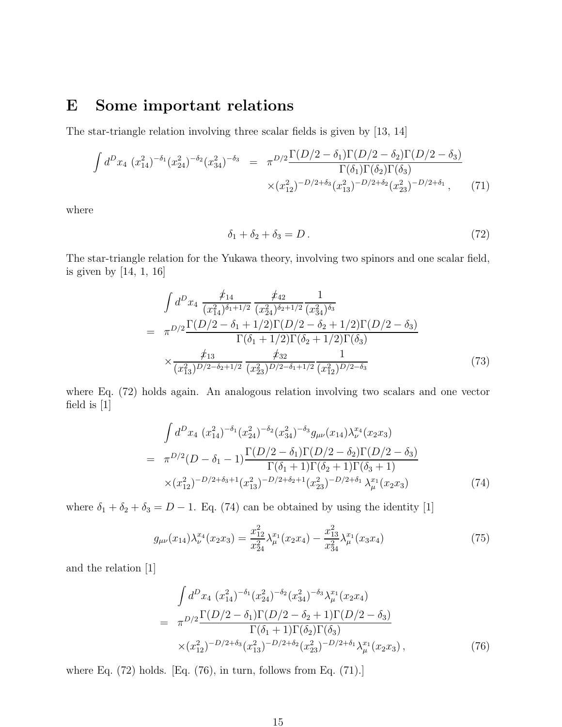### E Some important relations

The star-triangle relation involving three scalar fields is given by [13, 14]

$$
\int d^D x_4 \ (x_{14}^2)^{-\delta_1} (x_{24}^2)^{-\delta_2} (x_{34}^2)^{-\delta_3} = \pi^{D/2} \frac{\Gamma(D/2 - \delta_1)\Gamma(D/2 - \delta_2)\Gamma(D/2 - \delta_3)}{\Gamma(\delta_1)\Gamma(\delta_2)\Gamma(\delta_3)} \times (x_{12}^2)^{-D/2 + \delta_3} (x_{13}^2)^{-D/2 + \delta_2} (x_{23}^2)^{-D/2 + \delta_1}, \tag{71}
$$

where

$$
\delta_1 + \delta_2 + \delta_3 = D. \tag{72}
$$

The star-triangle relation for the Yukawa theory, involving two spinors and one scalar field, is given by [14, 1, 16]

$$
\int d^D x_4 \frac{\not x_{14}}{(x_{14}^2)^{\delta_1+1/2}} \frac{\not x_{42}}{(x_{24}^2)^{\delta_2+1/2}} \frac{1}{(x_{34}^2)^{\delta_3}} \n= \pi^{D/2} \frac{\Gamma(D/2 - \delta_1 + 1/2) \Gamma(D/2 - \delta_2 + 1/2) \Gamma(D/2 - \delta_3)}{\Gamma(\delta_1 + 1/2) \Gamma(\delta_2 + 1/2) \Gamma(\delta_3)} \n\times \frac{\not x_{13}}{(x_{13}^2)^{D/2-\delta_2+1/2}} \frac{\not x_{32}}{(x_{23}^2)^{D/2-\delta_1+1/2}} \frac{1}{(x_{12}^2)^{D/2-\delta_3}}
$$
\n(73)

where Eq. (72) holds again. An analogous relation involving two scalars and one vector field is [1]

$$
\int d^D x_4 \ (x_{14}^2)^{-\delta_1} (x_{24}^2)^{-\delta_2} (x_{34}^2)^{-\delta_3} g_{\mu\nu}(x_{14}) \lambda_{\nu}^{x_4} (x_2 x_3)
$$
\n
$$
= \ \pi^{D/2} (D - \delta_1 - 1) \frac{\Gamma(D/2 - \delta_1) \Gamma(D/2 - \delta_2) \Gamma(D/2 - \delta_3)}{\Gamma(\delta_1 + 1) \Gamma(\delta_2 + 1) \Gamma(\delta_3 + 1)}
$$
\n
$$
\times (x_{12}^2)^{-D/2 + \delta_3 + 1} (x_{13}^2)^{-D/2 + \delta_2 + 1} (x_{23}^2)^{-D/2 + \delta_1} \lambda_{\mu}^{x_1} (x_2 x_3) \tag{74}
$$

where  $\delta_1 + \delta_2 + \delta_3 = D - 1$ . Eq. (74) can be obtained by using the identity [1]

$$
g_{\mu\nu}(x_{14})\lambda_{\nu}^{x_4}(x_2x_3) = \frac{x_{12}^2}{x_{24}^2}\lambda_{\mu}^{x_1}(x_2x_4) - \frac{x_{13}^2}{x_{34}^2}\lambda_{\mu}^{x_1}(x_3x_4)
$$
(75)

and the relation [1]

$$
\int d^D x_4 \ (x_{14}^2)^{-\delta_1} (x_{24}^2)^{-\delta_2} (x_{34}^2)^{-\delta_3} \lambda_{\mu}^{x_1} (x_2 x_4)
$$
\n
$$
= \ \pi^{D/2} \frac{\Gamma(D/2 - \delta_1) \Gamma(D/2 - \delta_2 + 1) \Gamma(D/2 - \delta_3)}{\Gamma(\delta_1 + 1) \Gamma(\delta_2) \Gamma(\delta_3)}
$$
\n
$$
\times (x_{12}^2)^{-D/2 + \delta_3} (x_{13}^2)^{-D/2 + \delta_2} (x_{23}^2)^{-D/2 + \delta_1} \lambda_{\mu}^{x_1} (x_2 x_3) , \tag{76}
$$

where Eq. (72) holds. [Eq. (76), in turn, follows from Eq. (71).]